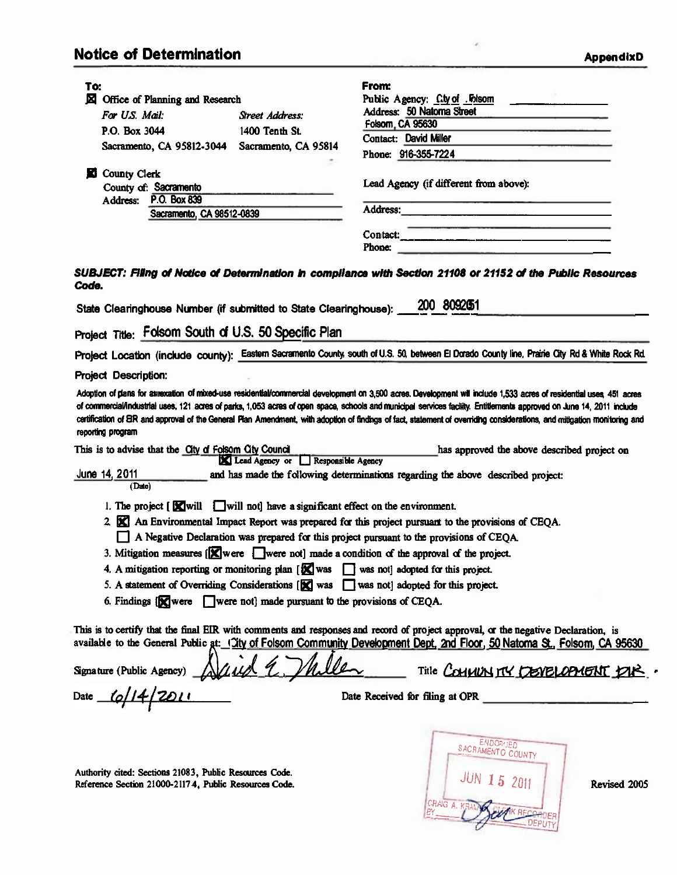## **Notice of Determination**

ä

|                                                                                                                                                                         |                                   | From:                                                                                                                                                                                                                                                                                                                                                                                             |  |
|-------------------------------------------------------------------------------------------------------------------------------------------------------------------------|-----------------------------------|---------------------------------------------------------------------------------------------------------------------------------------------------------------------------------------------------------------------------------------------------------------------------------------------------------------------------------------------------------------------------------------------------|--|
| To:<br>⊠<br>Office of Planning and Research                                                                                                                             |                                   | Public Agency: C.ty of Folsom                                                                                                                                                                                                                                                                                                                                                                     |  |
|                                                                                                                                                                         |                                   | Address: 50 Natoma Street                                                                                                                                                                                                                                                                                                                                                                         |  |
| For US Mail:                                                                                                                                                            | Street Address:                   | Folsom, CA 95630                                                                                                                                                                                                                                                                                                                                                                                  |  |
| P.O. Box 3044                                                                                                                                                           | 1400 Tenth St.                    | <b>Contact: David Miler</b>                                                                                                                                                                                                                                                                                                                                                                       |  |
| Sacramento, CA 95812-3044 Sacramento, CA 95814                                                                                                                          |                                   | Phone: 916-355-7224                                                                                                                                                                                                                                                                                                                                                                               |  |
| <b>County Clerk</b><br>М                                                                                                                                                |                                   |                                                                                                                                                                                                                                                                                                                                                                                                   |  |
| County of: Sacramento                                                                                                                                                   |                                   | Lead Agency (if different from above):                                                                                                                                                                                                                                                                                                                                                            |  |
| P.O. Box 839<br>Address:                                                                                                                                                |                                   |                                                                                                                                                                                                                                                                                                                                                                                                   |  |
| Sacramento, CA 98512-0839                                                                                                                                               |                                   |                                                                                                                                                                                                                                                                                                                                                                                                   |  |
|                                                                                                                                                                         |                                   |                                                                                                                                                                                                                                                                                                                                                                                                   |  |
|                                                                                                                                                                         |                                   | Contact:<br>Phone:                                                                                                                                                                                                                                                                                                                                                                                |  |
|                                                                                                                                                                         |                                   |                                                                                                                                                                                                                                                                                                                                                                                                   |  |
| Code.<br>State Clearinghouse Number (if submitted to State Clearinghouse):<br>Project Title: Folsom South of U.S. 50 Specific Plan                                      |                                   | SUBJECT: Filing of Notice of Determination in compliance with Section 21108 or 21152 of the Public Resources<br>200 8092051                                                                                                                                                                                                                                                                       |  |
|                                                                                                                                                                         |                                   |                                                                                                                                                                                                                                                                                                                                                                                                   |  |
|                                                                                                                                                                         |                                   | Project Location (include county): Eastem Sacramento County, south of U.S. 50, between El Dorado County line, Prairie City Rd & White Rock Rd.                                                                                                                                                                                                                                                    |  |
| Project Description:                                                                                                                                                    |                                   |                                                                                                                                                                                                                                                                                                                                                                                                   |  |
| reporting program<br>This is to advise that the City of Folsom City Council                                                                                             | Lead Agency or Responsible Agency | of commercial/industrial uses, 121 acres of parks, 1,053 acres of open space, schools and municipal services facility. Entitlements approved on June 14, 2011 include<br>certification of EIR and approval of the General Plan Amendment, with adoption of findings of fact, statement of overriding considerations, and mitigation monitoring and<br>has approved the above described project on |  |
| June 14, 2011<br>(Date)                                                                                                                                                 |                                   | and has made the following determinations regarding the above described project:                                                                                                                                                                                                                                                                                                                  |  |
| 1. The project $[\Box$ will $\Box$ will not] have a significant effect on the environment.                                                                              |                                   |                                                                                                                                                                                                                                                                                                                                                                                                   |  |
| 2. [X] An Environmental Impact Report was prepared for this project pursuant to the provisions of CEQA.                                                                 |                                   |                                                                                                                                                                                                                                                                                                                                                                                                   |  |
|                                                                                                                                                                         |                                   | A Negative Declaration was prepared for this project pursuant to the provisions of CEOA.                                                                                                                                                                                                                                                                                                          |  |
|                                                                                                                                                                         |                                   | 3. Mitigation measures [X] were [vere not] made a condition of the approval of the project.                                                                                                                                                                                                                                                                                                       |  |
| 4. A mitigation reporting or monitoring plan [X] was<br>was not] adopted for this project.<br>$\mathbf{1}$                                                              |                                   |                                                                                                                                                                                                                                                                                                                                                                                                   |  |
|                                                                                                                                                                         |                                   |                                                                                                                                                                                                                                                                                                                                                                                                   |  |
| 5. A statement of Overriding Considerations [X] was<br>was not adopted for this project.<br>6. Findings [X] were [J] were not] made pursuant to the provisions of CEQA. |                                   |                                                                                                                                                                                                                                                                                                                                                                                                   |  |
| Signature (Public Agency)<br>Date $\frac{1}{2}$                                                                                                                         | Javid E. Thile                    | This is to certify that the final EIR with comments and responses and record of project approval, or the negative Declaration, is<br>available to the General Public at: (Tity of Folsom Community Development Dept, 2nd Floor, 50 Natoma St., Folsom, CA 95630<br>Title COMMUNITY CEVELOPMENT PIR.<br>Date Received for filing at OPR                                                            |  |
| Authority cited: Sections 21083, Public Resources Code.<br>Reference Section 21000-21174, Public Resources Code.                                                        |                                   | <b>ENDORGED</b><br>SACRAMENTO COUNTY<br><b>JUN 15 2011</b><br>Revised 2005                                                                                                                                                                                                                                                                                                                        |  |

CRAIG A K:::i,1 *PV .* ,--.",11 -·-